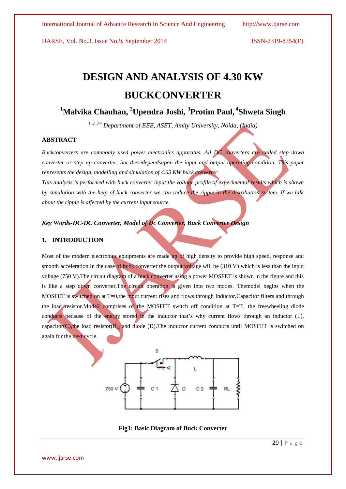IJARSE, Vol. No.3, Issue No.9, September 2014 ISSN-2319-8354(E)

# **DESIGN AND ANALYSIS OF 4.30 KW BUCKCONVERTER**

## **<sup>1</sup>Malvika Chauhan, <sup>2</sup>Upendra Joshi, 3 Protim Paul, 4 Shweta Singh**

*1, 2, 3,4 Department of EEE, ASET, Amity University, Noida, (India)*

#### **ABSTRACT**

*Buckconverters are commonly used power electronics apparatus. All DC converters are called step down converter or step up converter, but thesedependsupon the input and output operating condition. This paper represents the design, modelling and simulation of 4.65 KW buck converter.*

*This analysis is performed with buck converter input the voltage profile of experimental results which is shown by simulation with the help of buck converter we can reduce the ripple in the distribution system. If we talk about the ripple is affected by the current input source.*

#### *Key Words-DC-DC Converter, Model of Dc Converter, Buck Converter Design*

#### **1. INTRODUCTION**

Most of the modern electronics equipments are made up of high density to provide high speed, response and smooth acceleration. In the case of buck converter the output voltage will be (310 V) which is less than the input voltage (750 V). The circuit diagram of a buck converter using a power MOSFET is shown in the figure and this is like a step down converter.The circuit operation is given into two modes. Themodel begins when the MOSFET is switched on at T=0,the input current rises and flows through Inductor, Capacitor filters and through the load resistor.Mode2 comprises of the MOSFET switch off condition at  $T=T<sub>1</sub>$  the freewheeling diode conducts because of the energy stored in the inductor that's why current flows through an inductor (L), capacitor(C), the load resistor( $R_L$ ) and diode (D). The inductor current conducts until MOSFET is switched on again for the next cycle.



**Fig1: Basic Diagram of Buck Converter**

www.ijarse.com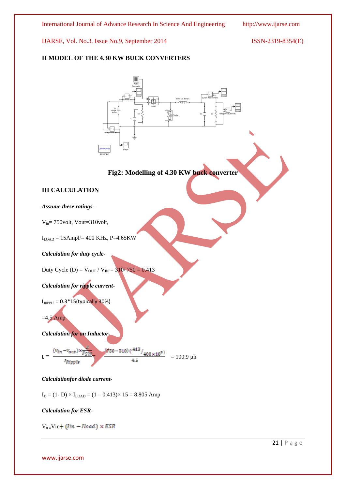IJARSE, Vol. No.3, Issue No.9, September 2014 ISSN-2319-8354(E)

### **II MODEL OF THE 4.30 KW BUCK CONVERTERS**



#### *Calculationfor diode current-*

 $I_D = (1 - D) \times I_{LOAD} = (1 - 0.413) \times 15 = 8.805$  Amp

#### *Calculation for ESR-*

 $V_0 = Vin + (lin - Iload) \times ESR$ 

21 | P a g e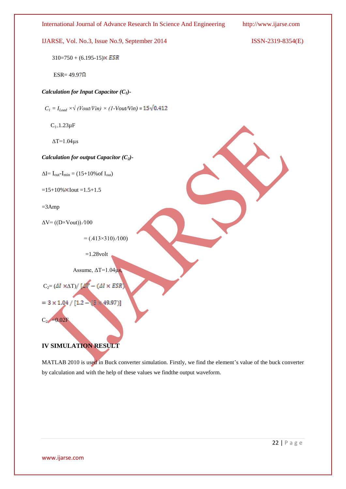

MATLAB 2010 is used in Buck converter simulation. Firstly, we find the element's value of the buck converter by calculation and with the help of these values we findthe output waveform.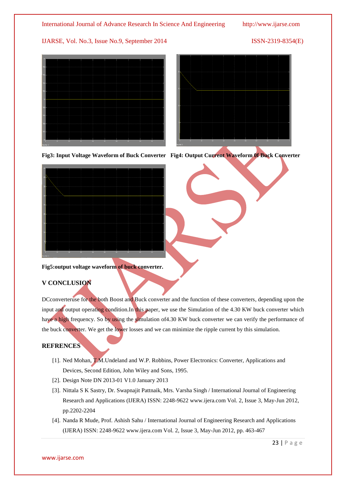### IJARSE, Vol. No.3, Issue No.9, September 2014 ISSN-2319-8354(E)





**Fig3: Input Voltage Waveform of Buck Converter Fig4: Output Current Waveform 0f Buck Converter**



#### **Fig5:output voltage waveform of buck converter.**

### **V CONCLUSION**

DCconverteruse for the both Boost and Buck converter and the function of these converters, depending upon the input and output operating condition.In this paper, we use the Simulation of the 4.30 KW buck converter which have a high frequency. So by using the simulation of 4.30 KW buck converter we can verify the performance of the buck converter. We get the lower losses and we can minimize the ripple current by this simulation.

#### **REFRENCES**

- [1]. Ned Mohan, T.M.Undeland and W.P. Robbins, Power Electronics: Converter, Applications and Devices, Second Edition, John Wiley and Sons, 1995.
- [2]. Design Note DN 2013-01 V1.0 January 2013
- [3]. Nittala S K Sastry, Dr. Swapnajit Pattnaik, Mrs. Varsha Singh / International Journal of Engineering Research and Applications (IJERA) ISSN: 2248-9622 [www.ijera.com](http://www.ijera.com/) Vol. 2, Issue 3, May-Jun 2012, pp.2202-2204
- [4]. Nanda R Mude, Prof. Ashish Sahu / International Journal of Engineering Research and Applications (IJERA) ISSN: 2248-9622 [www.ijera.com](http://www.ijera.com/) Vol. 2, Issue 3, May-Jun 2012, pp. 463-467